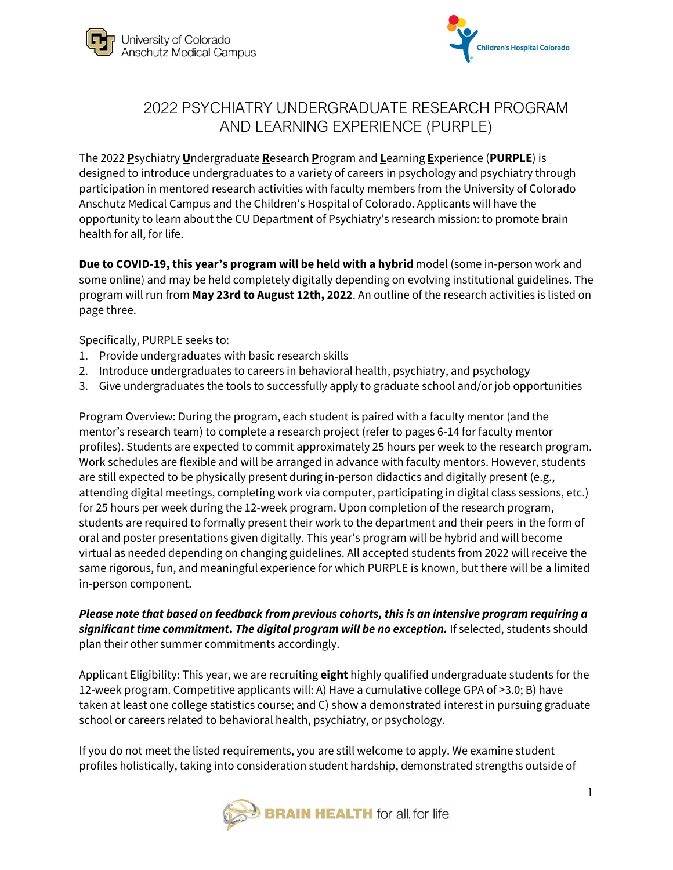



### 2022 PSYCHIATRY UNDERGRADUATE RESEARCH PROGRAM AND LEARNING EXPERIENCE (PURPLE)

The 2022 **P**sychiatry **U**ndergraduate **R**esearch **P**rogram and **L**earning **E**xperience (**PURPLE**) is designed to introduce undergraduates to a variety of careers in psychology and psychiatry through participation in mentored research activities with faculty members from the University of Colorado Anschutz Medical Campus and the Children's Hospital of Colorado. Applicants will have the opportunity to learn about the CU Department of Psychiatry's research mission: to promote brain health for all, for life.

**Due to COVID-19, this year's program will be held with a hybrid** model (some in-person work and some online) and may be held completely digitally depending on evolving institutional guidelines. The program will run from **May 23rd to August 12th, 2022**. An outline of the research activities is listed on page three.

Specifically, PURPLE seeks to:

- 1. Provide undergraduates with basic research skills
- 2. Introduce undergraduates to careers in behavioral health, psychiatry, and psychology
- 3. Give undergraduates the tools to successfully apply to graduate school and/or job opportunities

Program Overview: During the program, each student is paired with a faculty mentor (and the mentor's research team) to complete a research project (refer to pages 6-14 for faculty mentor profiles). Students are expected to commit approximately 25 hours per week to the research program. Work schedules are flexible and will be arranged in advance with faculty mentors. However, students are still expected to be physically present during in-person didactics and digitally present (e.g., attending digital meetings, completing work via computer, participating in digital class sessions, etc.) for 25 hours per week during the 12-week program. Upon completion of the research program, students are required to formally present their work to the department and their peers in the form of oral and poster presentations given digitally. This year's program will be hybrid and will become virtual as needed depending on changing guidelines. All accepted students from 2022 will receive the same rigorous, fun, and meaningful experience for which PURPLE is known, but there will be a limited in-person component.

*Please note that based on feedback from previous cohorts, this is an intensive program requiring a significant time commitment***.** *The digital program will be no exception.* If selected, students should plan their other summer commitments accordingly.

Applicant Eligibility: This year, we are recruiting **eight** highly qualified undergraduate students for the 12-week program. Competitive applicants will: A) Have a cumulative college GPA of >3.0; B) have taken at least one college statistics course; and C) show a demonstrated interest in pursuing graduate school or careers related to behavioral health, psychiatry, or psychology.

If you do not meet the listed requirements, you are still welcome to apply. We examine student profiles holistically, taking into consideration student hardship, demonstrated strengths outside of

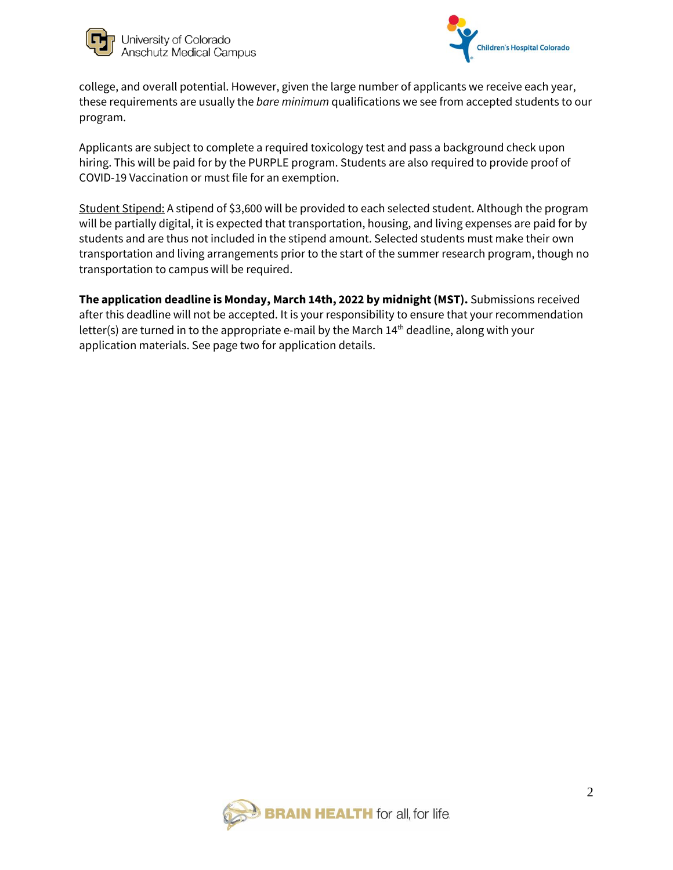



college, and overall potential. However, given the large number of applicants we receive each year, these requirements are usually the *bare minimum* qualifications we see from accepted students to our program.

Applicants are subject to complete a required toxicology test and pass a background check upon hiring. This will be paid for by the PURPLE program. Students are also required to provide proof of COVID-19 Vaccination or must file for an exemption.

Student Stipend: A stipend of \$3,600 will be provided to each selected student. Although the program will be partially digital, it is expected that transportation, housing, and living expenses are paid for by students and are thus not included in the stipend amount. Selected students must make their own transportation and living arrangements prior to the start of the summer research program, though no transportation to campus will be required.

**The application deadline is Monday, March 14th, 2022 by midnight (MST).** Submissions received after this deadline will not be accepted. It is your responsibility to ensure that your recommendation letter(s) are turned in to the appropriate e-mail by the March 14<sup>th</sup> deadline, along with your application materials. See page two for application details.

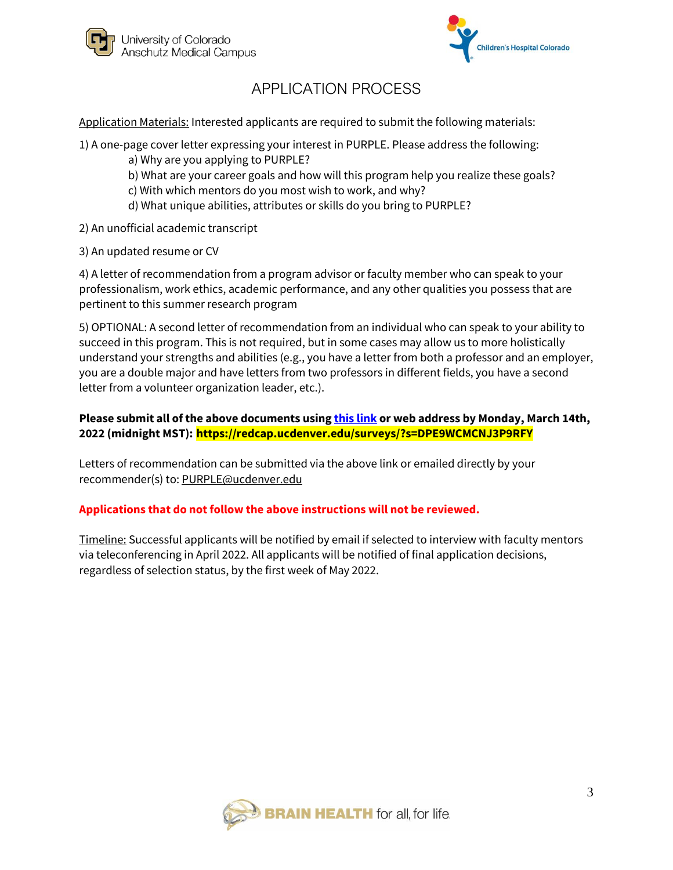



# APPLICATION PROCESS

Application Materials: Interested applicants are required to submit the following materials:

- 1) A one-page cover letter expressing your interest in PURPLE. Please address the following:
	- a) Why are you applying to PURPLE?
	- b) What are your career goals and how will this program help you realize these goals?
	- c) With which mentors do you most wish to work, and why?
	- d) What unique abilities, attributes or skills do you bring to PURPLE?
- 2) An unofficial academic transcript
- 3) An updated resume or CV

4) A letter of recommendation from a program advisor or faculty member who can speak to your professionalism, work ethics, academic performance, and any other qualities you possess that are pertinent to this summer research program

5) OPTIONAL: A second letter of recommendation from an individual who can speak to your ability to succeed in this program. This is not required, but in some cases may allow us to more holistically understand your strengths and abilities (e.g., you have a letter from both a professor and an employer, you are a double major and have letters from two professors in different fields, you have a second letter from a volunteer organization leader, etc.).

#### **Please submit all of the above documents using [this link](https://redcap.ucdenver.edu/surveys/?s=DPE9WCMCNJ3P9RFY) or web address by Monday, March 14th, 2022 (midnight MST): https://redcap.ucdenver.edu/surveys/?s=DPE9WCMCNJ3P9RFY**

Letters of recommendation can be submitted via the above link or emailed directly by your recommender(s) to: PURPLE@ucdenver.edu

#### **Applications that do not follow the above instructions will not be reviewed.**

Timeline: Successful applicants will be notified by email if selected to interview with faculty mentors via teleconferencing in April 2022. All applicants will be notified of final application decisions, regardless of selection status, by the first week of May 2022.

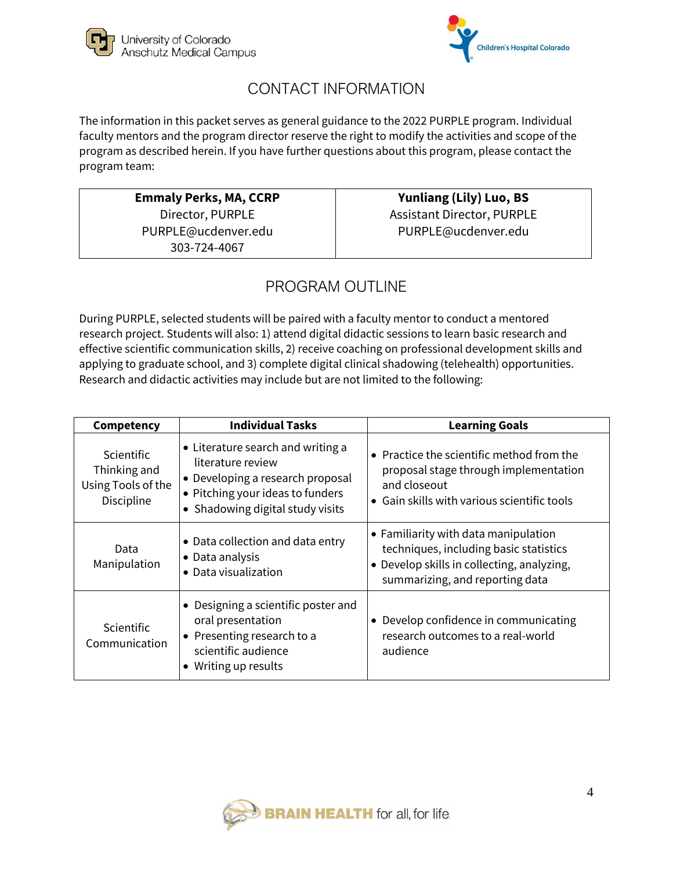



# CONTACT INFORMATION

The information in this packet serves as general guidance to the 2022 PURPLE program. Individual faculty mentors and the program director reserve the right to modify the activities and scope of the program as described herein. If you have further questions about this program, please contact the program team:

> **Emmaly Perks, MA, CCRP** Director, PURPLE PURPLE@ucdenver.edu 303-724-4067

**Yunliang (Lily) Luo, BS** Assistant Director, PURPLE PURPLE@ucdenver.edu

# PROGRAM OUTLINE

During PURPLE, selected students will be paired with a faculty mentor to conduct a mentored research project. Students will also: 1) attend digital didactic sessions to learn basic research and effective scientific communication skills, 2) receive coaching on professional development skills and applying to graduate school, and 3) complete digital clinical shadowing (telehealth) opportunities. Research and didactic activities may include but are not limited to the following:

| Competency                                                            | <b>Individual Tasks</b>                                                                                                                                            | <b>Learning Goals</b>                                                                                                                                           |
|-----------------------------------------------------------------------|--------------------------------------------------------------------------------------------------------------------------------------------------------------------|-----------------------------------------------------------------------------------------------------------------------------------------------------------------|
| <b>Scientific</b><br>Thinking and<br>Using Tools of the<br>Discipline | • Literature search and writing a<br>literature review<br>• Developing a research proposal<br>• Pitching your ideas to funders<br>• Shadowing digital study visits | • Practice the scientific method from the<br>proposal stage through implementation<br>and closeout<br>• Gain skills with various scientific tools               |
| Data<br>Manipulation                                                  | • Data collection and data entry<br>• Data analysis<br>Data visualization<br>$\bullet$                                                                             | • Familiarity with data manipulation<br>techniques, including basic statistics<br>• Develop skills in collecting, analyzing,<br>summarizing, and reporting data |
| <b>Scientific</b><br>Communication                                    | Designing a scientific poster and<br>$\bullet$<br>oral presentation<br>Presenting research to a<br>scientific audience<br>Writing up results                       | • Develop confidence in communicating<br>research outcomes to a real-world<br>audience                                                                          |

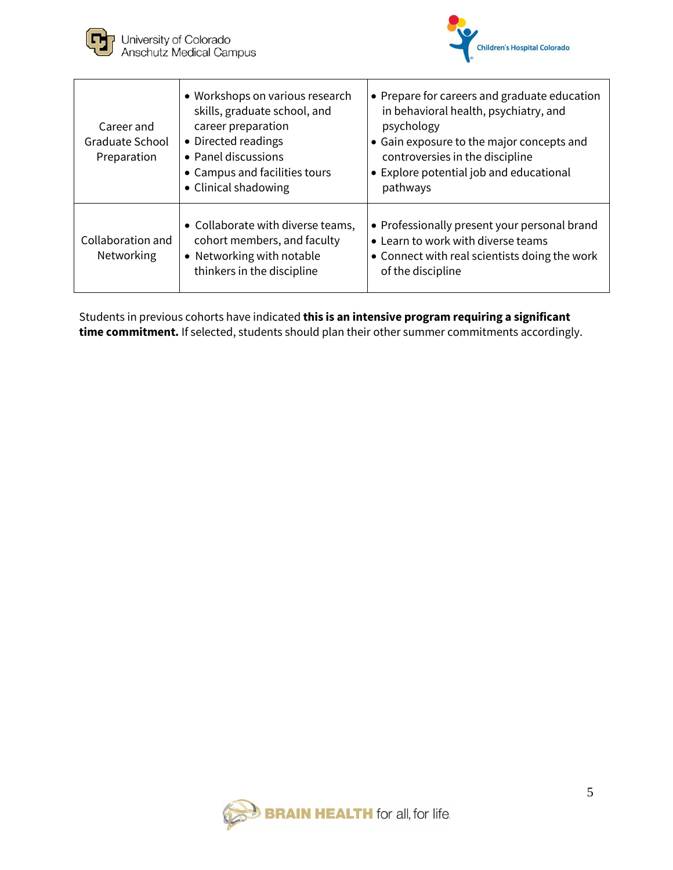



| Career and<br>Graduate School<br>Preparation | • Workshops on various research<br>skills, graduate school, and<br>career preparation<br>• Directed readings<br>• Panel discussions<br>• Campus and facilities tours<br>• Clinical shadowing | • Prepare for careers and graduate education<br>in behavioral health, psychiatry, and<br>psychology<br>• Gain exposure to the major concepts and<br>controversies in the discipline<br>• Explore potential job and educational<br>pathways |
|----------------------------------------------|----------------------------------------------------------------------------------------------------------------------------------------------------------------------------------------------|--------------------------------------------------------------------------------------------------------------------------------------------------------------------------------------------------------------------------------------------|
| Collaboration and<br>Networking              | • Collaborate with diverse teams,<br>cohort members, and faculty<br>• Networking with notable<br>thinkers in the discipline                                                                  | • Professionally present your personal brand<br>• Learn to work with diverse teams<br>• Connect with real scientists doing the work<br>of the discipline                                                                                   |

Students in previous cohorts have indicated **this is an intensive program requiring a significant time commitment.** If selected, students should plan their other summer commitments accordingly.

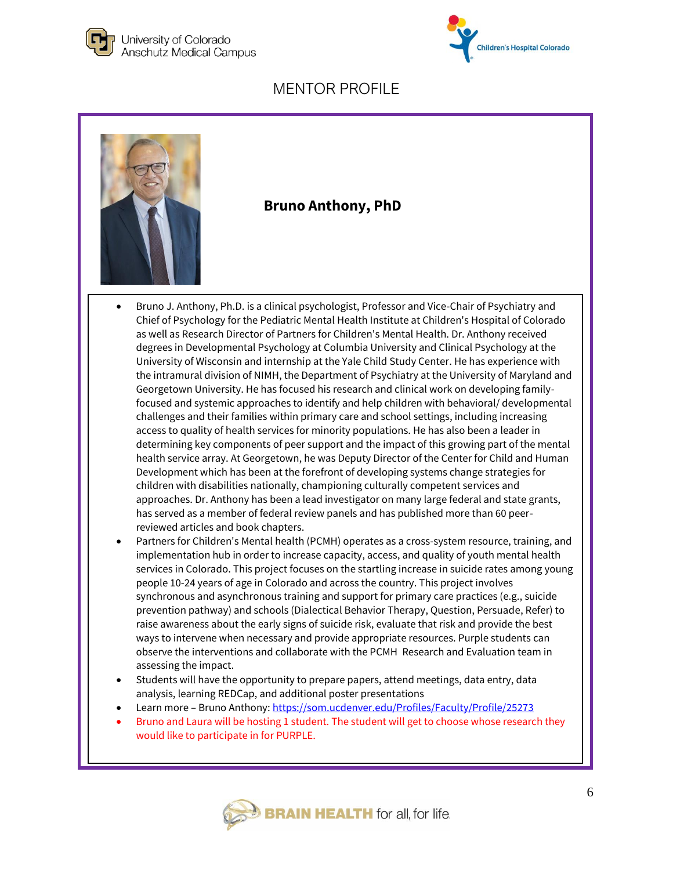





#### **Bruno Anthony, PhD**

- Bruno J. Anthony, Ph.D. is a clinical psychologist, Professor and Vice-Chair of Psychiatry and Chief of Psychology for the Pediatric Mental Health Institute at Children's Hospital of Colorado as well as Research Director of Partners for Children's Mental Health. Dr. Anthony received degrees in Developmental Psychology at Columbia University and Clinical Psychology at the University of Wisconsin and internship at the Yale Child Study Center. He has experience with the intramural division of NIMH, the Department of Psychiatry at the University of Maryland and Georgetown University. He has focused his research and clinical work on developing familyfocused and systemic approaches to identify and help children with behavioral/ developmental challenges and their families within primary care and school settings, including increasing access to quality of health services for minority populations. He has also been a leader in determining key components of peer support and the impact of this growing part of the mental health service array. At Georgetown, he was Deputy Director of the Center for Child and Human Development which has been at the forefront of developing systems change strategies for children with disabilities nationally, championing culturally competent services and approaches. Dr. Anthony has been a lead investigator on many large federal and state grants, has served as a member of federal review panels and has published more than 60 peerreviewed articles and book chapters.
- Partners for Children's Mental health (PCMH) operates as a cross-system resource, training, and implementation hub in order to increase capacity, access, and quality of youth mental health services in Colorado. This project focuses on the startling increase in suicide rates among young people 10-24 years of age in Colorado and across the country. This project involves synchronous and asynchronous training and support for primary care practices (e.g., suicide prevention pathway) and schools (Dialectical Behavior Therapy, Question, Persuade, Refer) to raise awareness about the early signs of suicide risk, evaluate that risk and provide the best ways to intervene when necessary and provide appropriate resources. Purple students can observe the interventions and collaborate with the PCMH Research and Evaluation team in assessing the impact.
- Students will have the opportunity to prepare papers, attend meetings, data entry, data analysis, learning REDCap, and additional poster presentations
- Learn more Bruno Anthony:<https://som.ucdenver.edu/Profiles/Faculty/Profile/25273>
- Bruno and Laura will be hosting 1 student. The student will get to choose whose research they would like to participate in for PURPLE.

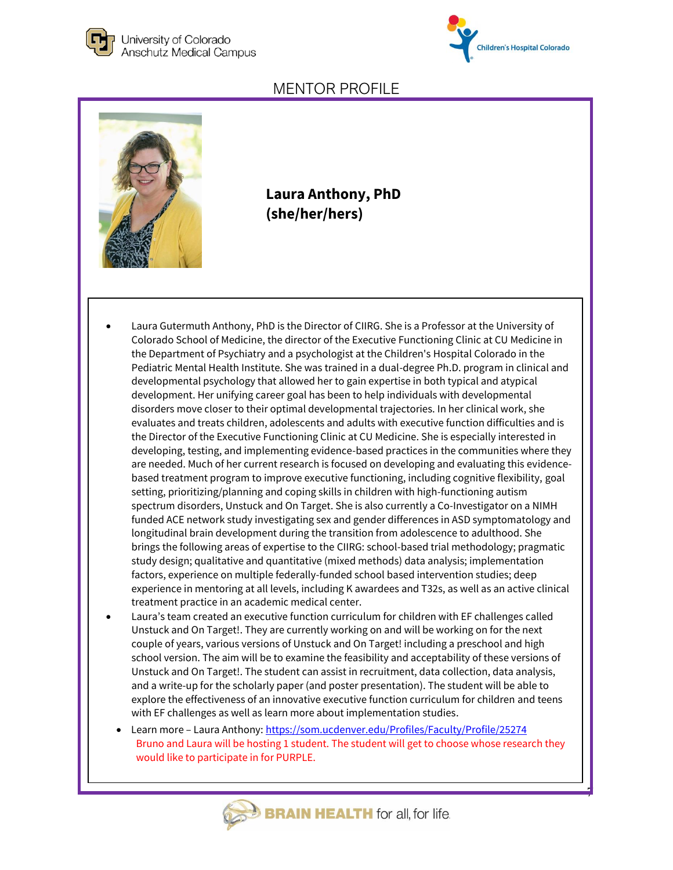



7

#### MENTOR PROFILE



**Laura Anthony, PhD (she/her/hers)**

- Laura Gutermuth Anthony, PhD is the Director of CIIRG. She is a Professor at the University of Colorado School of Medicine, the director of the Executive Functioning Clinic at CU Medicine in the Department of Psychiatry and a psychologist at the Children's Hospital Colorado in the Pediatric Mental Health Institute. She was trained in a dual-degree Ph.D. program in clinical and developmental psychology that allowed her to gain expertise in both typical and atypical development. Her unifying career goal has been to help individuals with developmental disorders move closer to their optimal developmental trajectories. In her clinical work, she evaluates and treats children, adolescents and adults with executive function difficulties and is the Director of the Executive Functioning Clinic at CU Medicine. She is especially interested in developing, testing, and implementing evidence-based practices in the communities where they are needed. Much of her current research is focused on developing and evaluating this evidencebased treatment program to improve executive functioning, including cognitive flexibility, goal setting, prioritizing/planning and coping skills in children with high-functioning autism spectrum disorders, Unstuck and On Target. She is also currently a Co-Investigator on a NIMH funded ACE network study investigating sex and gender differences in ASD symptomatology and longitudinal brain development during the transition from adolescence to adulthood. She brings the following areas of expertise to the CIIRG: school-based trial methodology; pragmatic study design; qualitative and quantitative (mixed methods) data analysis; implementation factors, experience on multiple federally-funded school based intervention studies; deep experience in mentoring at all levels, including K awardees and T32s, as well as an active clinical treatment practice in an academic medical center.
- Laura's team created an executive function curriculum for children with EF challenges called Unstuck and On Target!. They are currently working on and will be working on for the next couple of years, various versions of Unstuck and On Target! including a preschool and high school version. The aim will be to examine the feasibility and acceptability of these versions of Unstuck and On Target!. The student can assist in recruitment, data collection, data analysis, and a write-up for the scholarly paper (and poster presentation). The student will be able to explore the effectiveness of an innovative executive function curriculum for children and teens with EF challenges as well as learn more about implementation studies.
	- Learn more Laura Anthony[: https://som.ucdenver.edu/Profiles/Faculty/Profile/25274](https://som.ucdenver.edu/Profiles/Faculty/Profile/25274) Bruno and Laura will be hosting 1 student. The student will get to choose whose research they would like to participate in for PURPLE.

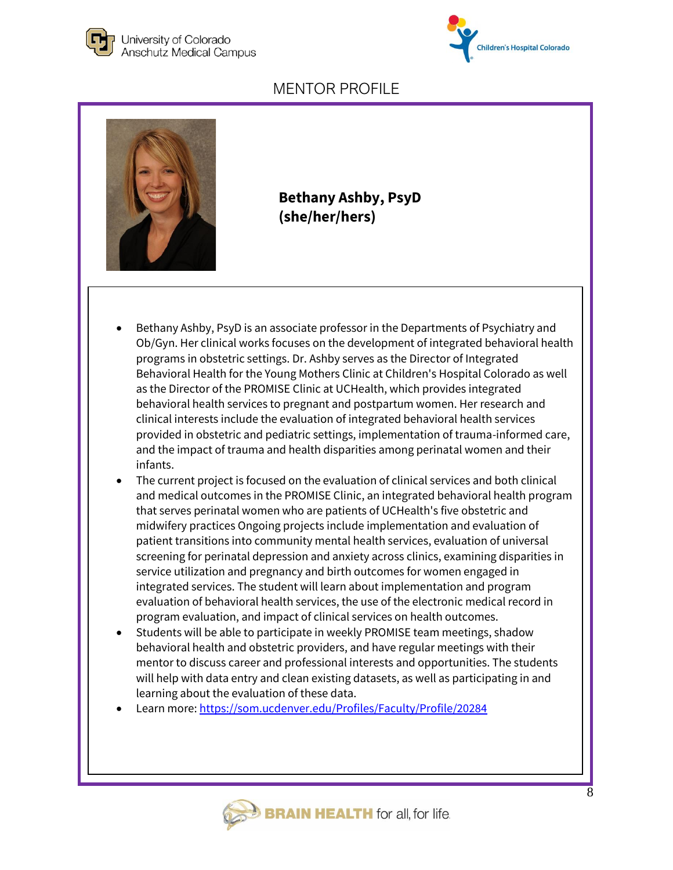





**Bethany Ashby, PsyD (she/her/hers)**

- Bethany Ashby, PsyD is an associate professor in the Departments of Psychiatry and Ob/Gyn. Her clinical works focuses on the development of integrated behavioral health programs in obstetric settings. Dr. Ashby serves as the Director of Integrated Behavioral Health for the Young Mothers Clinic at Children's Hospital Colorado as well as the Director of the PROMISE Clinic at UCHealth, which provides integrated behavioral health services to pregnant and postpartum women. Her research and clinical interests include the evaluation of integrated behavioral health services provided in obstetric and pediatric settings, implementation of trauma-informed care, and the impact of trauma and health disparities among perinatal women and their infants.
- The current project is focused on the evaluation of clinical services and both clinical and medical outcomes in the PROMISE Clinic, an integrated behavioral health program that serves perinatal women who are patients of UCHealth's five obstetric and midwifery practices Ongoing projects include implementation and evaluation of patient transitions into community mental health services, evaluation of universal screening for perinatal depression and anxiety across clinics, examining disparities in service utilization and pregnancy and birth outcomes for women engaged in integrated services. The student will learn about implementation and program evaluation of behavioral health services, the use of the electronic medical record in program evaluation, and impact of clinical services on health outcomes.
- Students will be able to participate in weekly PROMISE team meetings, shadow behavioral health and obstetric providers, and have regular meetings with their mentor to discuss career and professional interests and opportunities. The students will help with data entry and clean existing datasets, as well as participating in and learning about the evaluation of these data.
- Learn more[: https://som.ucdenver.edu/Profiles/Faculty/Profile/20284](https://som.ucdenver.edu/Profiles/Faculty/Profile/20284)

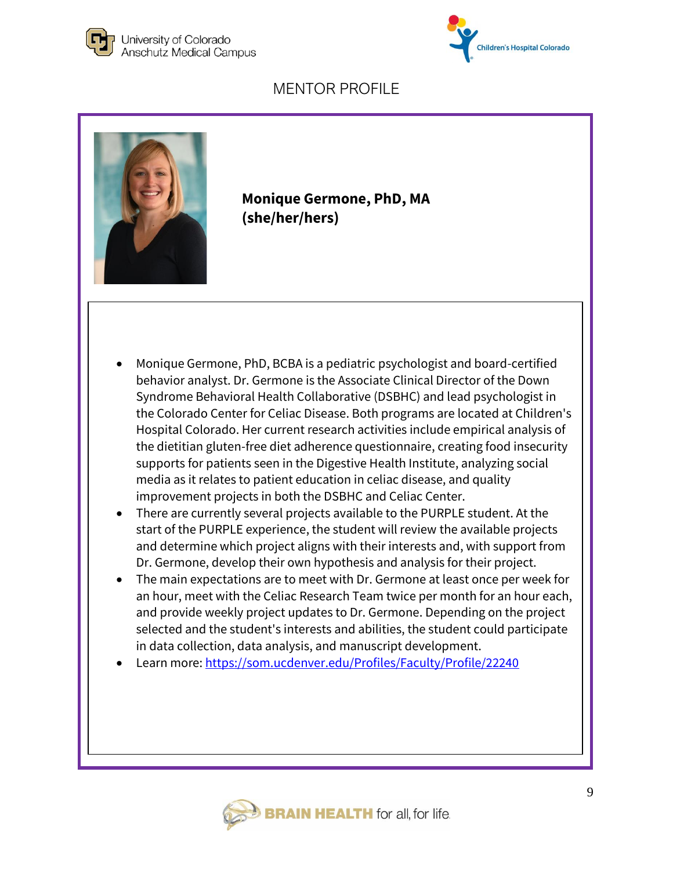





**Monique Germone, PhD, MA (she/her/hers)**

- Monique Germone, PhD, BCBA is a pediatric psychologist and board-certified behavior analyst. Dr. Germone is the Associate Clinical Director of the Down Syndrome Behavioral Health Collaborative (DSBHC) and lead psychologist in the Colorado Center for Celiac Disease. Both programs are located at Children's Hospital Colorado. Her current research activities include empirical analysis of the dietitian gluten-free diet adherence questionnaire, creating food insecurity supports for patients seen in the Digestive Health Institute, analyzing social media as it relates to patient education in celiac disease, and quality improvement projects in both the DSBHC and Celiac Center.
- There are currently several projects available to the PURPLE student. At the start of the PURPLE experience, the student will review the available projects and determine which project aligns with their interests and, with support from Dr. Germone, develop their own hypothesis and analysis for their project.
- The main expectations are to meet with Dr. Germone at least once per week for an hour, meet with the Celiac Research Team twice per month for an hour each, and provide weekly project updates to Dr. Germone. Depending on the project selected and the student's interests and abilities, the student could participate in data collection, data analysis, and manuscript development.
- Learn more[: https://som.ucdenver.edu/Profiles/Faculty/Profile/22240](https://som.ucdenver.edu/Profiles/Faculty/Profile/22240)

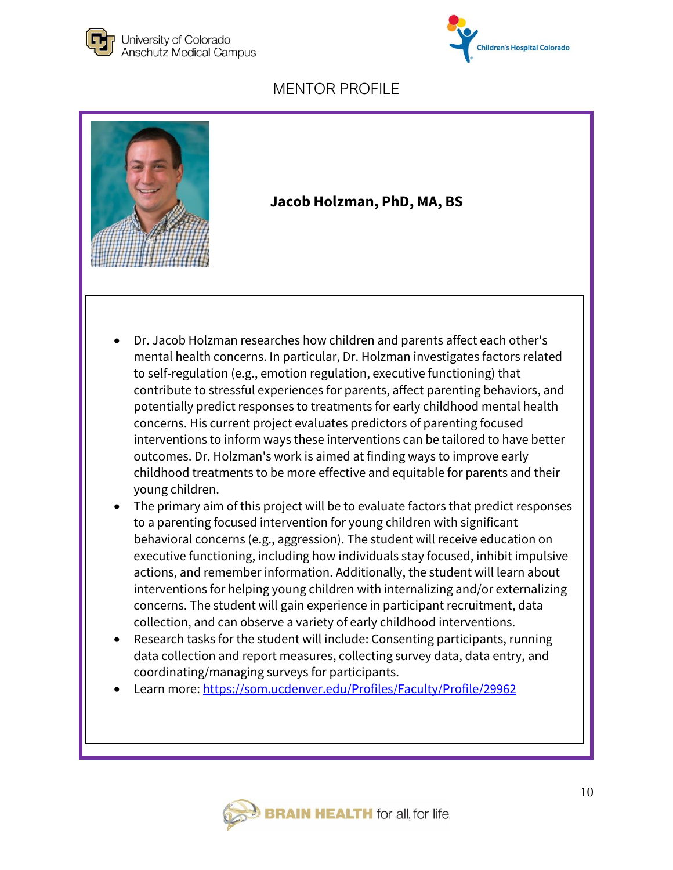





#### **Jacob Holzman, PhD, MA, BS**

- Dr. Jacob Holzman researches how children and parents affect each other's mental health concerns. In particular, Dr. Holzman investigates factors related to self-regulation (e.g., emotion regulation, executive functioning) that contribute to stressful experiences for parents, affect parenting behaviors, and potentially predict responses to treatments for early childhood mental health concerns. His current project evaluates predictors of parenting focused interventions to inform ways these interventions can be tailored to have better outcomes. Dr. Holzman's work is aimed at finding ways to improve early childhood treatments to be more effective and equitable for parents and their young children.
- The primary aim of this project will be to evaluate factors that predict responses to a parenting focused intervention for young children with significant behavioral concerns (e.g., aggression). The student will receive education on executive functioning, including how individuals stay focused, inhibit impulsive actions, and remember information. Additionally, the student will learn about interventions for helping young children with internalizing and/or externalizing concerns. The student will gain experience in participant recruitment, data collection, and can observe a variety of early childhood interventions.
- Research tasks for the student will include: Consenting participants, running data collection and report measures, collecting survey data, data entry, and coordinating/managing surveys for participants.
- Learn more[: https://som.ucdenver.edu/Profiles/Faculty/Profile/29962](https://som.ucdenver.edu/Profiles/Faculty/Profile/29962)

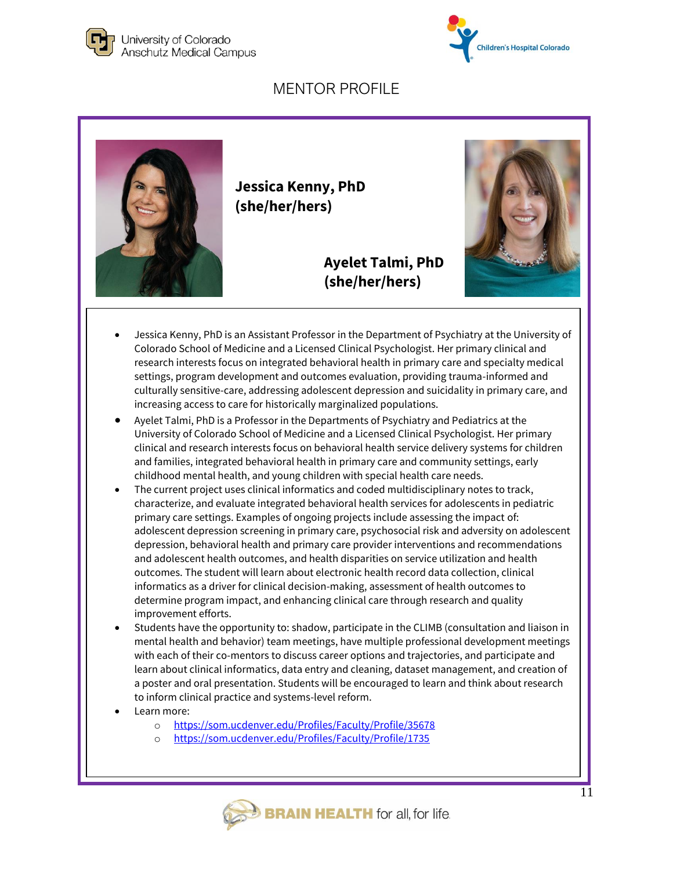





- Jessica Kenny, PhD is an Assistant Professor in the Department of Psychiatry at the University of Colorado School of Medicine and a Licensed Clinical Psychologist. Her primary clinical and research interests focus on integrated behavioral health in primary care and specialty medical settings, program development and outcomes evaluation, providing trauma-informed and culturally sensitive-care, addressing adolescent depression and suicidality in primary care, and increasing access to care for historically marginalized populations.
- Ayelet Talmi, PhD is a Professor in the Departments of Psychiatry and Pediatrics at the University of Colorado School of Medicine and a Licensed Clinical Psychologist. Her primary clinical and research interests focus on behavioral health service delivery systems for children and families, integrated behavioral health in primary care and community settings, early childhood mental health, and young children with special health care needs.
- The current project uses clinical informatics and coded multidisciplinary notes to track, characterize, and evaluate integrated behavioral health services for adolescents in pediatric primary care settings. Examples of ongoing projects include assessing the impact of: adolescent depression screening in primary care, psychosocial risk and adversity on adolescent depression, behavioral health and primary care provider interventions and recommendations and adolescent health outcomes, and health disparities on service utilization and health outcomes. The student will learn about electronic health record data collection, clinical informatics as a driver for clinical decision-making, assessment of health outcomes to determine program impact, and enhancing clinical care through research and quality improvement efforts.
- Students have the opportunity to: shadow, participate in the CLIMB (consultation and liaison in mental health and behavior) team meetings, have multiple professional development meetings with each of their co-mentors to discuss career options and trajectories, and participate and learn about clinical informatics, data entry and cleaning, dataset management, and creation of a poster and oral presentation. Students will be encouraged to learn and think about research to inform clinical practice and systems-level reform.
- Learn more:
	- o <https://som.ucdenver.edu/Profiles/Faculty/Profile/35678>
	- <https://som.ucdenver.edu/Profiles/Faculty/Profile/1735>

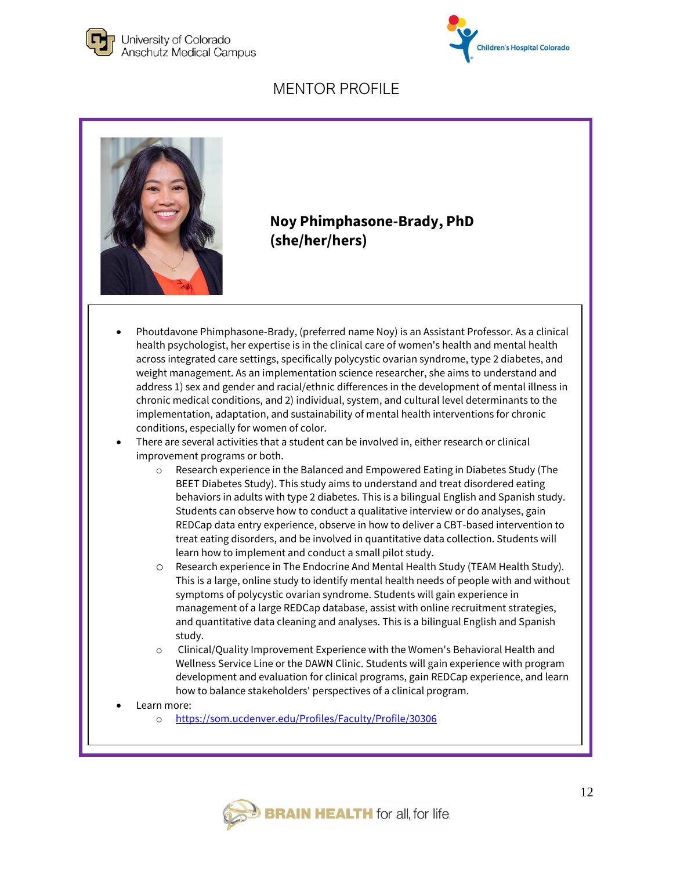





#### **Noy Phimphasone-Brady, PhD (she/her/hers)**

- Phoutdavone Phimphasone-Brady, (preferred name Noy) is an Assistant Professor. As a clinical health psychologist, her expertise is in the clinical care of women's health and mental health across integrated care settings, specifically polycystic ovarian syndrome, type 2 diabetes, and weight management. As an implementation science researcher, she aims to understand and address 1) sex and gender and racial/ethnic differences in the development of mental illness in chronic medical conditions, and 2) individual, system, and cultural level determinants to the implementation, adaptation, and sustainability of mental health interventions for chronic conditions, especially for women of color.
- There are several activities that a student can be involved in, either research or clinical improvement programs or both.
	- o Research experience in the Balanced and Empowered Eating in Diabetes Study (The BEET Diabetes Study). This study aims to understand and treat disordered eating behaviors in adults with type 2 diabetes. This is a bilingual English and Spanish study. Students can observe how to conduct a qualitative interview or do analyses, gain REDCap data entry experience, observe in how to deliver a CBT-based intervention to treat eating disorders, and be involved in quantitative data collection. Students will learn how to implement and conduct a small pilot study.
	- o Research experience in The Endocrine And Mental Health Study (TEAM Health Study). This is a large, online study to identify mental health needs of people with and without symptoms of polycystic ovarian syndrome. Students will gain experience in management of a large REDCap database, assist with online recruitment strategies, and quantitative data cleaning and analyses. This is a bilingual English and Spanish study.
	- o Clinical/Quality Improvement Experience with the Women's Behavioral Health and Wellness Service Line or the DAWN Clinic. Students will gain experience with program development and evaluation for clinical programs, gain REDCap experience, and learn how to balance stakeholders' perspectives of a clinical program.
- Learn more:
	- o <https://som.ucdenver.edu/Profiles/Faculty/Profile/30306>

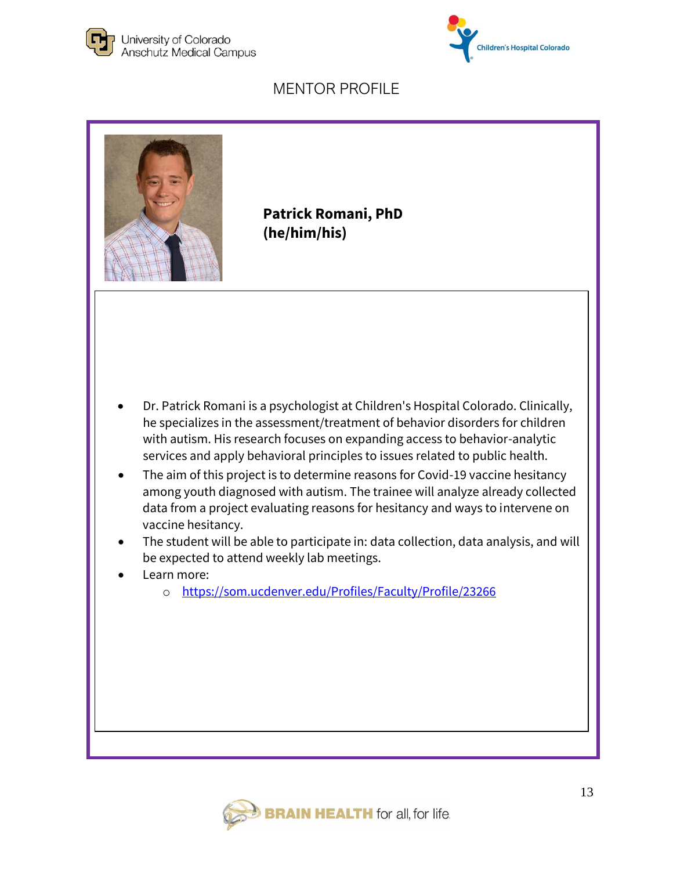





**Patrick Romani, PhD (he/him/his)**

- Dr. Patrick Romani is a psychologist at Children's Hospital Colorado. Clinically, he specializes in the assessment/treatment of behavior disorders for children with autism. His research focuses on expanding access to behavior-analytic services and apply behavioral principles to issues related to public health.
- The aim of this project is to determine reasons for Covid-19 vaccine hesitancy among youth diagnosed with autism. The trainee will analyze already collected data from a project evaluating reasons for hesitancy and ways to intervene on vaccine hesitancy.
- The student will be able to participate in: data collection, data analysis, and will be expected to attend weekly lab meetings.
- Learn more:
	- o <https://som.ucdenver.edu/Profiles/Faculty/Profile/23266>